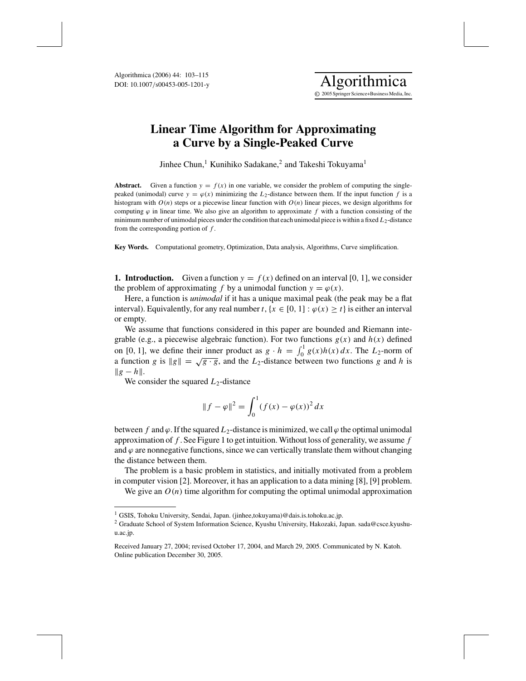

Jinhee Chun,<sup>1</sup> Kunihiko Sadakane,<sup>2</sup> and Takeshi Tokuyama<sup>1</sup>

**Abstract.** Given a function  $y = f(x)$  in one variable, we consider the problem of computing the singlepeaked (unimodal) curve  $y = \varphi(x)$  minimizing the  $L_2$ -distance between them. If the input function f is a histogram with *O*(*n*) steps or a piecewise linear function with *O*(*n*) linear pieces, we design algorithms for computing  $\varphi$  in linear time. We also give an algorithm to approximate f with a function consisting of the minimum number of unimodal pieces under the condition that each unimodal piece is within a fixed *L*<sub>2</sub>-distance from the corresponding portion of *f* .

**Key Words.** Computational geometry, Optimization, Data analysis, Algorithms, Curve simplification.

**1. Introduction.** Given a function  $y = f(x)$  defined on an interval [0, 1], we consider the problem of approximating *f* by a unimodal function  $y = \varphi(x)$ .

Here, a function is *unimodal* if it has a unique maximal peak (the peak may be a flat interval). Equivalently, for any real number *t*, { $x \in [0, 1]$  :  $\varphi(x) \ge t$ } is either an interval or empty.

We assume that functions considered in this paper are bounded and Riemann integrable (e.g., a piecewise algebraic function). For two functions  $g(x)$  and  $h(x)$  defined on [0, 1], we define their inner product as  $g \cdot h = \int_0^1 g(x)h(x) dx$ . The  $L_2$ -norm of a function *g* is  $||g|| = \sqrt{g \cdot g}$ , and the *L*<sub>2</sub>-distance between two functions *g* and *h* is  $||g-h||.$ 

We consider the squared  $L_2$ -distance

$$
||f - \varphi||^2 = \int_0^1 (f(x) - \varphi(x))^2 dx
$$

between *f* and  $\varphi$ . If the squared  $L_2$ -distance is minimized, we call  $\varphi$  the optimal unimodal approximation of *f* . See Figure 1 to get intuition. Without loss of generality, we assume *f* and  $\varphi$  are nonnegative functions, since we can vertically translate them without changing the distance between them.

The problem is a basic problem in statistics, and initially motivated from a problem in computer vision [2]. Moreover, it has an application to a data mining [8], [9] problem. We give an  $O(n)$  time algorithm for computing the optimal unimodal approximation

<sup>&</sup>lt;sup>1</sup> GSIS, Tohoku University, Sendai, Japan. (jinhee,tokuyama)@dais.is.tohoku.ac.jp.

<sup>&</sup>lt;sup>2</sup> Graduate School of System Information Science, Kyushu University, Hakozaki, Japan. sada@csce.kyushuu.ac.jp.

Received January 27, 2004; revised October 17, 2004, and March 29, 2005. Communicated by N. Katoh. Online publication December 30, 2005.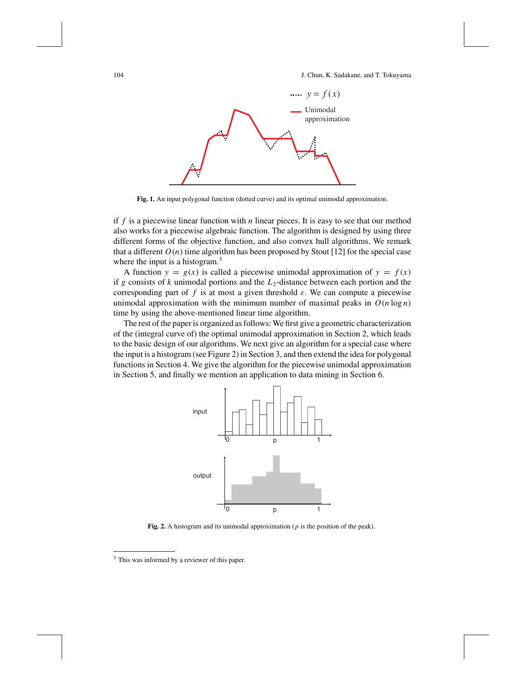

**Fig. 1.** An input polygonal function (dotted curve) and its optimal unimodal approximation.

if *f* is a piecewise linear function with *n* linear pieces. It is easy to see that our method also works for a piecewise algebraic function. The algorithm is designed by using three different forms of the objective function, and also convex hull algorithms. We remark that a different  $O(n)$  time algorithm has been proposed by Stout [12] for the special case where the input is a histogram.<sup>3</sup>

A function  $y = g(x)$  is called a piecewise unimodal approximation of  $y = f(x)$ if *g* consists of *k* unimodal portions and the  $L_2$ -distance between each portion and the corresponding part of  $f$  is at most a given threshold  $\varepsilon$ . We can compute a piecewise unimodal approximation with the minimum number of maximal peaks in  $O(n \log n)$ time by using the above-mentioned linear time algorithm.

The rest of the paper is organized as follows: We first give a geometric characterization of the (integral curve of) the optimal unimodal approximation in Section 2, which leads to the basic design of our algorithms. We next give an algorithm for a special case where the input is a histogram (see Figure 2) in Section 3, and then extend the idea for polygonal functions in Section 4. We give the algorithm for the piecewise unimodal approximation in Section 5, and finally we mention an application to data mining in Section 6.



**Fig. 2.** A histogram and its unimodal approximation (*p* is the position of the peak).

<sup>&</sup>lt;sup>3</sup> This was informed by a reviewer of this paper.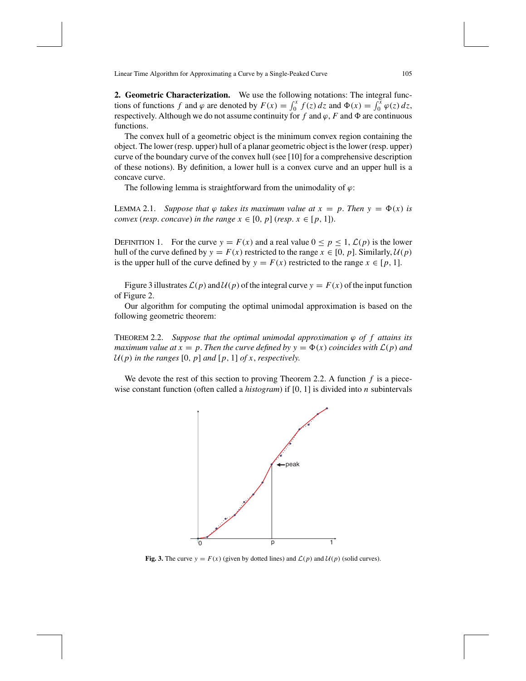**2. Geometric Characterization.** We use the following notations: The integral functions of functions *f* and  $\varphi$  are denoted by  $F(x) = \int_0^x f(z) dz$  and  $\Phi(x) = \int_0^x \varphi(z) dz$ , respectively. Although we do not assume continuity for  $f$  and  $\varphi$ ,  $F$  and  $\Phi$  are continuous functions.

The convex hull of a geometric object is the minimum convex region containing the object. The lower (resp. upper) hull of a planar geometric object is the lower (resp. upper) curve of the boundary curve of the convex hull (see [10] for a comprehensive description of these notions). By definition, a lower hull is a convex curve and an upper hull is a concave curve.

The following lemma is straightforward from the unimodality of  $\varphi$ :

LEMMA 2.1. *Suppose that*  $\varphi$  *takes its maximum value at*  $x = p$ . *Then*  $y = \Phi(x)$  *is convex* (*resp. concave*) *in the range*  $x \in [0, p]$  (*resp.*  $x \in [p, 1]$ ).

DEFINITION 1. For the curve  $y = F(x)$  and a real value  $0 \le p \le 1$ ,  $\mathcal{L}(p)$  is the lower hull of the curve defined by  $y = F(x)$  restricted to the range  $x \in [0, p]$ . Similarly,  $\mathcal{U}(p)$ is the upper hull of the curve defined by  $y = F(x)$  restricted to the range  $x \in [p, 1]$ .

Figure 3 illustrates  $\mathcal{L}(p)$  and  $\mathcal{U}(p)$  of the integral curve  $y = F(x)$  of the input function of Figure 2.

Our algorithm for computing the optimal unimodal approximation is based on the following geometric theorem:

THEOREM 2.2. *Suppose that the optimal unimodal approximation*  $\varphi$  *of f attains its maximum value at x* = *p*. *Then the curve defined by y* =  $\Phi(x)$  *coincides with*  $\mathcal{L}(p)$  *and*  $U(p)$  *in the ranges* [0, *p*] *and* [*p*, 1] *of x*, *respectively.* 

We devote the rest of this section to proving Theorem 2.2. A function *f* is a piecewise constant function (often called a *histogram*) if [0, 1] is divided into *n* subintervals



**Fig. 3.** The curve  $y = F(x)$  (given by dotted lines) and  $\mathcal{L}(p)$  and  $\mathcal{U}(p)$  (solid curves).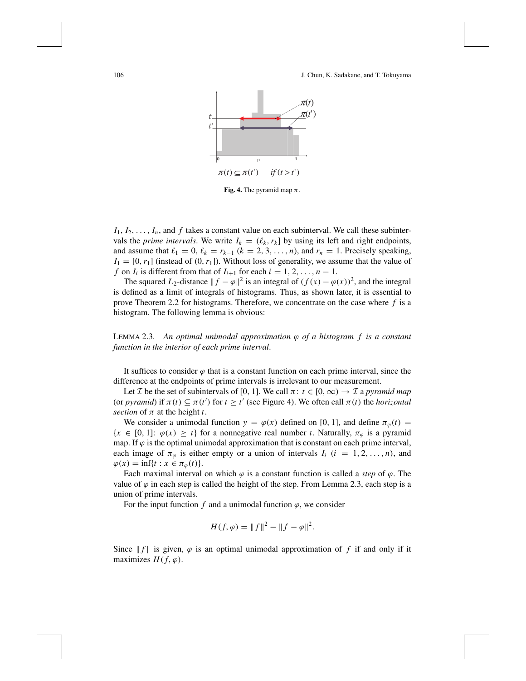

**Fig. 4.** The pyramid map  $\pi$ .

 $I_1, I_2, \ldots, I_n$ , and  $f$  takes a constant value on each subinterval. We call these subintervals the *prime intervals*. We write  $I_k = (\ell_k, r_k]$  by using its left and right endpoints, and assume that  $\ell_1 = 0$ ,  $\ell_k = r_{k-1}$  ( $k = 2, 3, ..., n$ ), and  $r_n = 1$ . Precisely speaking,  $I_1 = [0, r_1]$  (instead of  $(0, r_1]$ ). Without loss of generality, we assume that the value of *f* on *I<sub>i</sub>* is different from that of  $I_{i+1}$  for each  $i = 1, 2, \ldots, n - 1$ .

The squared *L*<sub>2</sub>-distance  $|| f - \varphi ||^2$  is an integral of  $(f(x) - \varphi(x))^2$ , and the integral is defined as a limit of integrals of histograms. Thus, as shown later, it is essential to prove Theorem 2.2 for histograms. Therefore, we concentrate on the case where *f* is a histogram. The following lemma is obvious:

LEMMA 2.3. *An optimal unimodal approximation* ϕ *of a histogram f is a constant function in the interior of each prime interval*.

It suffices to consider  $\varphi$  that is a constant function on each prime interval, since the difference at the endpoints of prime intervals is irrelevant to our measurement.

Let *I* be the set of subintervals of [0, 1]. We call  $\pi$ :  $t \in [0, \infty) \rightarrow I$  a *pyramid map* (or *pyramid*) if  $\pi(t) \subseteq \pi(t')$  for  $t \geq t'$  (see Figure 4). We often call  $\pi(t)$  the *horizontal section* of  $\pi$  at the height *t*.

We consider a unimodal function  $y = \varphi(x)$  defined on [0, 1], and define  $\pi_{\varphi}(t) =$  ${x \in [0, 1]: \varphi(x) \geq t}$  for a nonnegative real number *t*. Naturally,  $\pi_{\varphi}$  is a pyramid map. If  $\varphi$  is the optimal unimodal approximation that is constant on each prime interval, each image of  $\pi_{\varphi}$  is either empty or a union of intervals  $I_i$  ( $i = 1, 2, ..., n$ ), and  $\varphi(x) = \inf\{t : x \in \pi_{\varphi}(t)\}.$ 

Each maximal interval on which  $\varphi$  is a constant function is called a *step* of  $\varphi$ . The value of  $\varphi$  in each step is called the height of the step. From Lemma 2.3, each step is a union of prime intervals.

For the input function  $f$  and a unimodal function  $\varphi$ , we consider

$$
H(f, \varphi) = ||f||^2 - ||f - \varphi||^2.
$$

Since  $|| f ||$  is given,  $\varphi$  is an optimal unimodal approximation of f if and only if it maximizes  $H(f, \varphi)$ .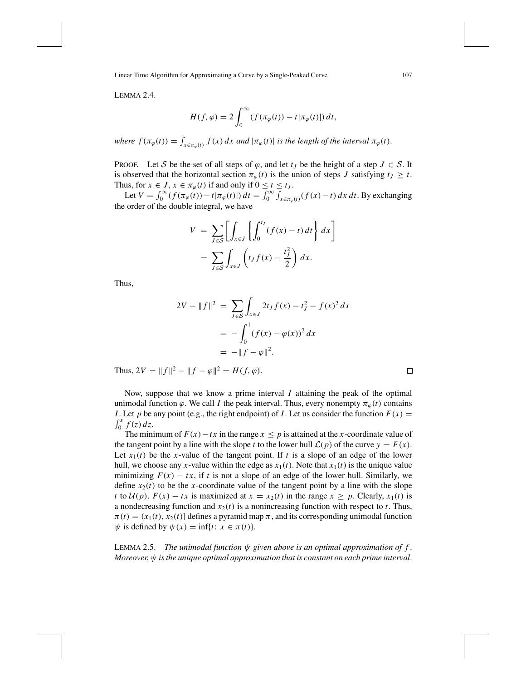LEMMA 2.4.

$$
H(f, \varphi) = 2 \int_0^\infty (f(\pi_\varphi(t)) - t | \pi_\varphi(t) |) dt,
$$

*where*  $f(\pi_{\varphi}(t)) = \int_{x \in \pi_{\varphi}(t)} f(x) dx$  and  $|\pi_{\varphi}(t)|$  is the length of the interval  $\pi_{\varphi}(t)$ .

PROOF. Let S be the set of all steps of  $\varphi$ , and let  $t_J$  be the height of a step  $J \in S$ . It is observed that the horizontal section  $\pi_{\varphi}(t)$  is the union of steps *J* satisfying  $t_j \geq t$ . Thus, for  $x \in J$ ,  $x \in \pi_{\varphi}(t)$  if and only if  $0 \le t \le t_J$ .

Let  $V = \int_0^\infty (f(\pi_\varphi(t)) - t | \pi_\varphi(t)|) dt = \int_0^\infty \int_{x \in \pi_\varphi(t)} (f(x) - t) dx dt$ . By exchanging the order of the double integral, we have

$$
V = \sum_{J \in S} \left[ \int_{x \in J} \left\{ \int_0^{t_J} (f(x) - t) dt \right\} dx \right]
$$
  
= 
$$
\sum_{J \in S} \int_{x \in J} \left( t_J f(x) - \frac{t_J^2}{2} \right) dx.
$$

Thus,

$$
2V - ||f||2 = \sum_{J \in S} \int_{x \in J} 2t_J f(x) - t_J^2 - f(x)^2 dx
$$
  
= 
$$
- \int_0^1 (f(x) - \varphi(x))^2 dx
$$
  
= 
$$
-||f - \varphi||^2.
$$

Thus,  $2V = ||f||^2 - ||f - \varphi||^2 = H(f, \varphi)$ .

Now, suppose that we know a prime interval *I* attaining the peak of the optimal unimodal function  $\varphi$ . We call *I* the peak interval. Thus, every nonempty  $\pi_{\varphi}(t)$  contains *I*. Let *p* be any point (e.g., the right endpoint) of *I*. Let us consider the function  $F(x) =$  $\int_0^x f(z) dz$ .

The minimum of  $F(x) - tx$  in the range  $x \leq p$  is attained at the *x*-coordinate value of the tangent point by a line with the slope *t* to the lower hull  $\mathcal{L}(p)$  of the curve  $y = F(x)$ . Let  $x_1(t)$  be the *x*-value of the tangent point. If *t* is a slope of an edge of the lower hull, we choose any *x*-value within the edge as  $x_1(t)$ . Note that  $x_1(t)$  is the unique value minimizing  $F(x) - tx$ , if t is not a slope of an edge of the lower hull. Similarly, we define  $x_2(t)$  to be the *x*-coordinate value of the tangent point by a line with the slope *t* to  $U(p)$ .  $F(x) - tx$  is maximized at  $x = x_2(t)$  in the range  $x \ge p$ . Clearly,  $x_1(t)$  is a nondecreasing function and  $x_2(t)$  is a nonincreasing function with respect to *t*. Thus,  $\pi(t) = (x_1(t), x_2(t))$  defines a pyramid map  $\pi$ , and its corresponding unimodal function  $\psi$  is defined by  $\psi(x) = \inf\{t: x \in \pi(t)\}.$ 

LEMMA 2.5. *The unimodal function*  $\psi$  *given above is an optimal approximation of f. Moreover*, ψ *is the unique optimal approximation that is constant on each prime interval*.

 $\Box$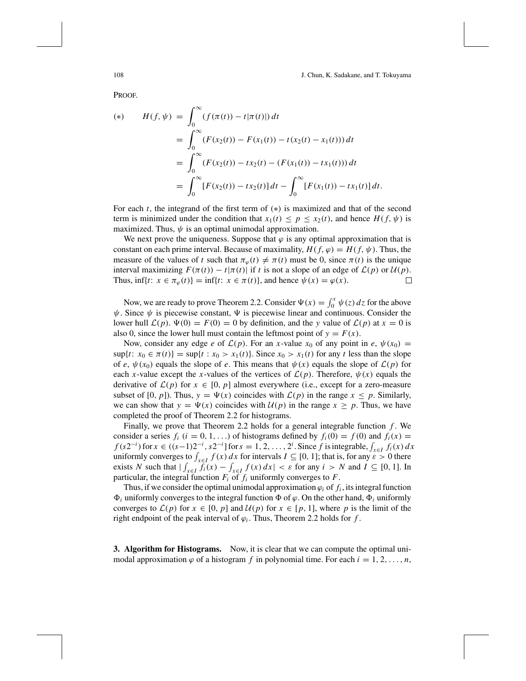PROOF.

$$
H(f, \psi) = \int_0^\infty (f(\pi(t)) - t|\pi(t)|) dt
$$
  
= 
$$
\int_0^\infty (F(x_2(t)) - F(x_1(t)) - t(x_2(t) - x_1(t))) dt
$$
  
= 
$$
\int_0^\infty (F(x_2(t)) - tx_2(t) - (F(x_1(t)) - tx_1(t))) dt
$$
  
= 
$$
\int_0^\infty [F(x_2(t)) - tx_2(t)] dt - \int_0^\infty [F(x_1(t)) - tx_1(t)] dt.
$$

For each  $t$ , the integrand of the first term of  $(*)$  is maximized and that of the second term is minimized under the condition that  $x_1(t) \leq p \leq x_2(t)$ , and hence  $H(f, \psi)$  is maximized. Thus,  $\psi$  is an optimal unimodal approximation.

We next prove the uniqueness. Suppose that  $\varphi$  is any optimal approximation that is constant on each prime interval. Because of maximality,  $H(f, \varphi) = H(f, \psi)$ . Thus, the measure of the values of *t* such that  $\pi_{\varphi}(t) \neq \pi(t)$  must be 0, since  $\pi(t)$  is the unique interval maximizing  $F(\pi(t)) - t|\pi(t)|$  if *t* is not a slope of an edge of  $\mathcal{L}(p)$  or  $\mathcal{U}(p)$ . Thus,  $\inf\{t: x \in \pi_\varphi(t)\} = \inf\{t: x \in \pi(t)\}$ , and hence  $\psi(x) = \varphi(x)$ .  $\Box$ 

Now, we are ready to prove Theorem 2.2. Consider  $\Psi(x) = \int_0^x \psi(z) dz$  for the above  $\psi$ . Since  $\psi$  is piecewise constant,  $\Psi$  is piecewise linear and continuous. Consider the lower hull  $\mathcal{L}(p)$ .  $\Psi(0) = F(0) = 0$  by definition, and the *y* value of  $\mathcal{L}(p)$  at  $x = 0$  is also 0, since the lower hull must contain the leftmost point of  $y = F(x)$ .

Now, consider any edge *e* of  $\mathcal{L}(p)$ . For an *x*-value  $x_0$  of any point in *e*,  $\psi(x_0)$  =  $\sup\{t: x_0 \in \pi(t)\} = \sup\{t: x_0 > x_1(t)\}$ . Since  $x_0 > x_1(t)$  for any *t* less than the slope of *e*,  $\psi(x_0)$  equals the slope of *e*. This means that  $\psi(x)$  equals the slope of  $\mathcal{L}(p)$  for each *x*-value except the *x*-values of the vertices of  $\mathcal{L}(p)$ . Therefore,  $\psi(x)$  equals the derivative of  $\mathcal{L}(p)$  for  $x \in [0, p]$  almost everywhere (i.e., except for a zero-measure subset of [0, *p*]). Thus,  $y = \Psi(x)$  coincides with  $\mathcal{L}(p)$  in the range  $x \leq p$ . Similarly, we can show that  $y = \Psi(x)$  coincides with  $\mathcal{U}(p)$  in the range  $x \geq p$ . Thus, we have completed the proof of Theorem 2.2 for histograms.

Finally, we prove that Theorem 2.2 holds for a general integrable function *f* . We consider a series  $f_i$  ( $i = 0, 1, ...$ ) of histograms defined by  $f_i(0) = f(0)$  and  $f_i(x) = f_i(x)$  $f(s2^{-i})$  for  $x \in ((s-1)2^{-i}, s2^{-i}]$  for  $s = 1, 2, ..., 2^{i}$ . Since  $f$  is integrable,  $\int_{x \in I} f_i(x) dx$ uniformly converges to  $\int_{x \in I} f(x) dx$  for intervals  $I \subseteq [0, 1]$ ; that is, for any  $\varepsilon > 0$  there exists *N* such that  $|\int_{x \in I} f_i(x) - \int_{x \in I} f(x) dx| < \varepsilon$  for any  $i > N$  and  $I \subseteq [0, 1]$ . In particular, the integral function  $F_i$  of  $f_i$  uniformly converges to  $F$ .

Thus, if we consider the optimal unimodal approximation  $\varphi_i$  of  $f_i$ , its integral function  $\Phi_i$  uniformly converges to the integral function  $\Phi$  of  $\varphi$ . On the other hand,  $\Phi_i$  uniformly converges to  $\mathcal{L}(p)$  for  $x \in [0, p]$  and  $\mathcal{U}(p)$  for  $x \in [p, 1]$ , where p is the limit of the right endpoint of the peak interval of  $\varphi_i$ . Thus, Theorem 2.2 holds for *f*.

**3. Algorithm for Histograms.** Now, it is clear that we can compute the optimal unimodal approximation  $\varphi$  of a histogram f in polynomial time. For each  $i = 1, 2, \ldots, n$ ,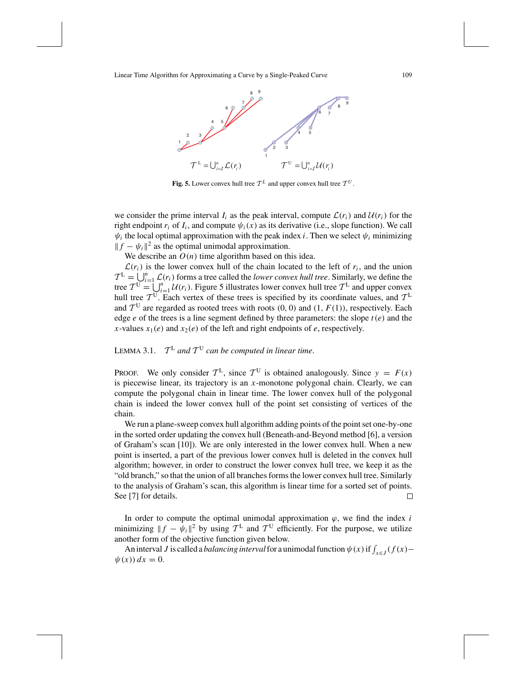

**Fig. 5.** Lower convex hull tree  $\mathcal{T}^L$  and upper convex hull tree  $\mathcal{T}^U$ .

we consider the prime interval  $I_i$  as the peak interval, compute  $\mathcal{L}(r_i)$  and  $\mathcal{U}(r_i)$  for the right endpoint  $r_i$  of  $I_i$ , and compute  $\psi_i(x)$  as its derivative (i.e., slope function). We call  $\psi_i$  the local optimal approximation with the peak index *i*. Then we select  $\psi_i$  minimizing  $|| f - \psi_i ||^2$  as the optimal unimodal approximation.

We describe an  $O(n)$  time algorithm based on this idea.

 $\mathcal{L}(r_i)$  is the lower convex hull of the chain located to the left of  $r_i$ , and the union  $T^{\text{L}} = \bigcup_{i=1}^{n} \mathcal{L}(r_i)$  forms a tree called the *lower convex hull tree*. Similarly, we define the tree  $T^{\mathbf{U}} = \bigcup_{i=1}^{n} \mathcal{U}(r_i)$ . Figure 5 illustrates lower convex hull tree  $T^{\mathbf{L}}$  and upper convex hull tree  $T^{\text{U}}$ . Each vertex of these trees is specified by its coordinate values, and  $T^{\text{L}}$ and  $T^{\text{U}}$  are regarded as rooted trees with roots (0, 0) and (1,  $F(1)$ ), respectively. Each edge  $e$  of the trees is a line segment defined by three parameters: the slope  $t(e)$  and the *x*-values  $x_1(e)$  and  $x_2(e)$  of the left and right endpoints of *e*, respectively.

## LEMMA 3.1.  $T^L$  *and*  $T^U$  *can be computed in linear time.*

PROOF. We only consider  $T<sup>L</sup>$ , since  $T<sup>U</sup>$  is obtained analogously. Since  $y = F(x)$ is piecewise linear, its trajectory is an *x*-monotone polygonal chain. Clearly, we can compute the polygonal chain in linear time. The lower convex hull of the polygonal chain is indeed the lower convex hull of the point set consisting of vertices of the chain.

We run a plane-sweep convex hull algorithm adding points of the point set one-by-one in the sorted order updating the convex hull (Beneath-and-Beyond method [6], a version of Graham's scan [10]). We are only interested in the lower convex hull. When a new point is inserted, a part of the previous lower convex hull is deleted in the convex hull algorithm; however, in order to construct the lower convex hull tree, we keep it as the "old branch," so that the union of all branches forms the lower convex hull tree. Similarly to the analysis of Graham's scan, this algorithm is linear time for a sorted set of points. See [7] for details. □

In order to compute the optimal unimodal approximation  $\varphi$ , we find the index *i* minimizing  $||f - \psi_i||^2$  by using  $\mathcal{T}^L$  and  $\mathcal{T}^U$  efficiently. For the purpose, we utilize another form of the objective function given below.

An interval *J* is called a *balancing interval* for a unimodal function  $\psi(x)$  if  $\int_{x \in J} (f(x) \psi(x)$ )  $dx = 0$ .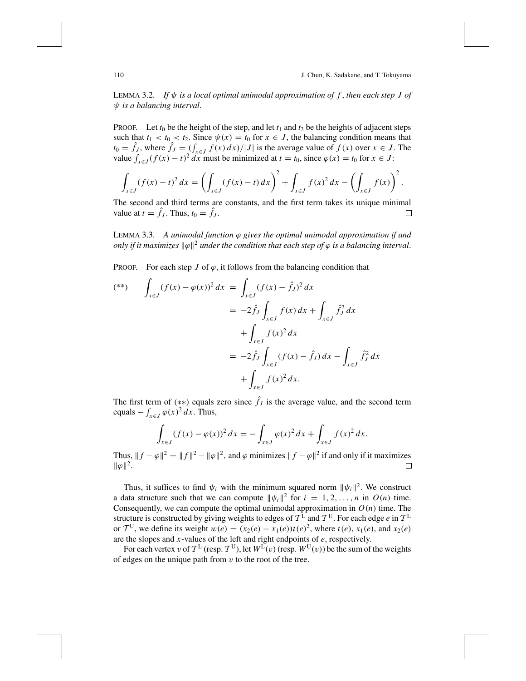LEMMA 3.2. *If* ψ *is a local optimal unimodal approximation of f* , *then each step J of* ψ *is a balancing interval*.

PROOF. Let  $t_0$  be the height of the step, and let  $t_1$  and  $t_2$  be the heights of adjacent steps such that  $t_1 < t_0 < t_2$ . Since  $\psi(x) = t_0$  for  $x \in J$ , the balancing condition means that  $t_0 = \hat{f}_J$ , where  $\hat{f}_J = \int_{x \in J} f(x) dx / |J|$  is the average value of  $f(x)$  over  $x \in J$ . The value  $\int_{x \in J} (f(x) - t)^2 dx$  must be minimized at  $t = t_0$ , since  $\varphi(x) = t_0$  for  $x \in J$ :

$$
\int_{x \in J} (f(x) - t)^2 dx = \left( \int_{x \in J} (f(x) - t) dx \right)^2 + \int_{x \in J} f(x)^2 dx - \left( \int_{x \in J} f(x) \right)^2.
$$

The second and third terms are constants, and the first term takes its unique minimal value at  $t = f_j$ . Thus,  $t_0 = f_j$ .  $\Box$ 

LEMMA 3.3. *A unimodal function* ϕ *gives the optimal unimodal approximation if and only if it maximizes*  $\|\varphi\|^2$  *under the condition that each step of*  $\varphi$  *is a balancing interval.* 

**PROOF.** For each step *J* of  $\varphi$ , it follows from the balancing condition that

$$
(*) \qquad \int_{x \in J} (f(x) - \varphi(x))^2 dx = \int_{x \in J} (f(x) - \hat{f}_J)^2 dx
$$
  

$$
= -2\hat{f}_J \int_{x \in J} f(x) dx + \int_{x \in J} \hat{f}_J^2 dx
$$
  

$$
+ \int_{x \in J} f(x)^2 dx
$$
  

$$
= -2\hat{f}_J \int_{x \in J} (f(x) - \hat{f}_J) dx - \int_{x \in J} \hat{f}_J^2 dx
$$
  

$$
+ \int_{x \in J} f(x)^2 dx.
$$

The first term of (\*\*) equals zero since  $\hat{f}_j$  is the average value, and the second term equals  $-\int_{x \in J} \varphi(x)^2 dx$ . Thus,

$$
\int_{x \in J} (f(x) - \varphi(x))^2 dx = - \int_{x \in J} \varphi(x)^2 dx + \int_{x \in J} f(x)^2 dx.
$$

Thus,  $|| f - \varphi ||^2 = || f ||^2 - || \varphi ||^2$ , and  $\varphi$  minimizes  $|| f - \varphi ||^2$  if and only if it maximizes  $\|\varphi\|^2$ .  $\Box$ 

Thus, it suffices to find  $\psi_i$  with the minimum squared norm  $||\psi_i||^2$ . We construct a data structure such that we can compute  $||\psi_i||^2$  for  $i = 1, 2, ..., n$  in  $O(n)$  time. Consequently, we can compute the optimal unimodal approximation in  $O(n)$  time. The structure is constructed by giving weights to edges of  $T<sup>L</sup>$  and  $T<sup>U</sup>$ . For each edge *e* in  $T<sup>L</sup>$ or  $T^{\text{U}}$ , we define its weight  $w(e) = (x_2(e) - x_1(e))t(e)^2$ , where  $t(e)$ ,  $x_1(e)$ , and  $x_2(e)$ are the slopes and *x*-values of the left and right endpoints of *e*, respectively.

For each vertex v of  $T^L$  (resp.  $T^U$ ), let  $W^L(v)$  (resp.  $W^U(v)$ ) be the sum of the weights of edges on the unique path from  $v$  to the root of the tree.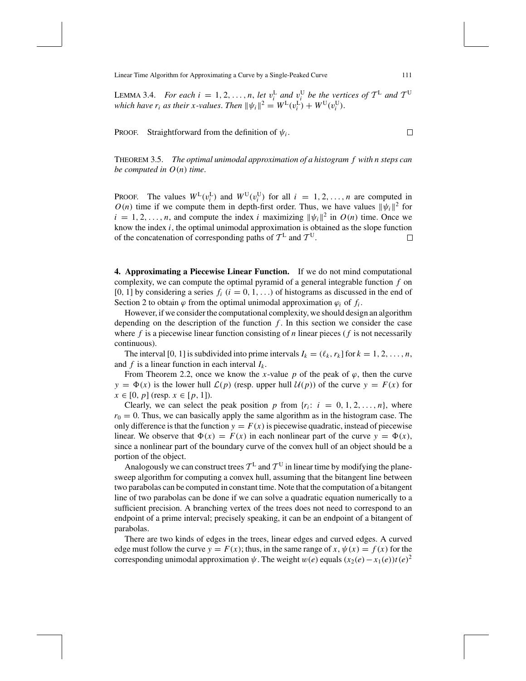LEMMA 3.4. *For each i* = 1, 2, ..., *n*, *let*  $v_i^L$  *and*  $v_i^U$  *be the vertices of*  $T^L$  *and*  $T^U$ *which have r<sub>i</sub> as their x-values. Then*  $\|\psi_i\|^2 = W^L(v_i^L) + W^U(v_i^U)$ .

PROOF. Straightforward from the definition of  $\psi_i$ .

THEOREM 3.5. *The optimal unimodal approximation of a histogram f with n steps can be computed in O*(*n*) *time*.

PROOF. The values  $W^L(v_i^L)$  and  $W^U(v_i^U)$  for all  $i = 1, 2, ..., n$  are computed in  $O(n)$  time if we compute them in depth-first order. Thus, we have values  $||\psi_i||^2$  for  $i = 1, 2, \ldots, n$ , and compute the index *i* maximizing  $||\psi_i||^2$  in  $O(n)$  time. Once we know the index *i*, the optimal unimodal approximation is obtained as the slope function of the concatenation of corresponding paths of  $T<sup>L</sup>$  and  $T<sup>U</sup>$ . □

**4. Approximating a Piecewise Linear Function.** If we do not mind computational complexity, we can compute the optimal pyramid of a general integrable function *f* on  $[0, 1]$  by considering a series  $f_i$   $(i = 0, 1, ...)$  of histograms as discussed in the end of Section 2 to obtain  $\varphi$  from the optimal unimodal approximation  $\varphi_i$  of  $f_i$ .

However, if we consider the computational complexity, we should design an algorithm depending on the description of the function *f* . In this section we consider the case where  $f$  is a piecewise linear function consisting of  $n$  linear pieces ( $f$  is not necessarily continuous).

The interval [0, 1] is subdivided into prime intervals  $I_k = (\ell_k, r_k]$  for  $k = 1, 2, ..., n$ , and  $f$  is a linear function in each interval  $I_k$ .

From Theorem 2.2, once we know the *x*-value  $p$  of the peak of  $\varphi$ , then the curve  $y = \Phi(x)$  is the lower hull  $\mathcal{L}(p)$  (resp. upper hull  $\mathcal{U}(p)$ ) of the curve  $y = F(x)$  for *x* ∈ [0, *p*] (resp. *x* ∈ [*p*, 1]).

Clearly, we can select the peak position *p* from  $\{r_i: i = 0, 1, 2, \ldots, n\}$ , where  $r_0 = 0$ . Thus, we can basically apply the same algorithm as in the histogram case. The only difference is that the function  $y = F(x)$  is piecewise quadratic, instead of piecewise linear. We observe that  $\Phi(x) = F(x)$  in each nonlinear part of the curve  $y = \Phi(x)$ , since a nonlinear part of the boundary curve of the convex hull of an object should be a portion of the object.

Analogously we can construct trees  $T^L$  and  $T^U$  in linear time by modifying the planesweep algorithm for computing a convex hull, assuming that the bitangent line between two parabolas can be computed in constant time. Note that the computation of a bitangent line of two parabolas can be done if we can solve a quadratic equation numerically to a sufficient precision. A branching vertex of the trees does not need to correspond to an endpoint of a prime interval; precisely speaking, it can be an endpoint of a bitangent of parabolas.

There are two kinds of edges in the trees, linear edges and curved edges. A curved edge must follow the curve  $y = F(x)$ ; thus, in the same range of  $x, \psi(x) = f(x)$  for the corresponding unimodal approximation  $\psi$ . The weight  $w(e)$  equals  $(x_2(e) - x_1(e))t(e)^2$ 

 $\Box$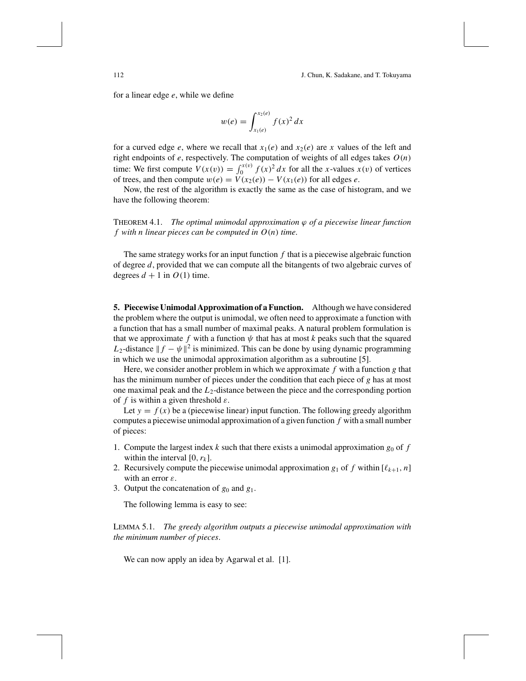for a linear edge *e*, while we define

$$
w(e) = \int_{x_1(e)}^{x_2(e)} f(x)^2 dx
$$

for a curved edge *e*, where we recall that  $x_1(e)$  and  $x_2(e)$  are *x* values of the left and right endpoints of *e*, respectively. The computation of weights of all edges takes *O*(*n*) time: We first compute  $V(x(v)) = \int_0^{x(v)} f(x)^2 dx$  for all the *x*-values  $x(v)$  of vertices of trees, and then compute  $w(e) = V(x_2(e)) - V(x_1(e))$  for all edges *e*.

Now, the rest of the algorithm is exactly the same as the case of histogram, and we have the following theorem:

THEOREM 4.1. *The optimal unimodal approximation* ϕ *of a piecewise linear function f with n linear pieces can be computed in O*(*n*) *time*.

The same strategy works for an input function *f* that is a piecewise algebraic function of degree *d*, provided that we can compute all the bitangents of two algebraic curves of degrees  $d + 1$  in  $O(1)$  time.

**5. Piecewise Unimodal Approximation of a Function.** Although we have considered the problem where the output is unimodal, we often need to approximate a function with a function that has a small number of maximal peaks. A natural problem formulation is that we approximate  $f$  with a function  $\psi$  that has at most  $k$  peaks such that the squared *L*<sub>2</sub>-distance  $|| f - \psi ||^2$  is minimized. This can be done by using dynamic programming in which we use the unimodal approximation algorithm as a subroutine [5].

Here, we consider another problem in which we approximate *f* with a function *g* that has the minimum number of pieces under the condition that each piece of *g* has at most one maximal peak and the *L*2-distance between the piece and the corresponding portion of *f* is within a given threshold  $\varepsilon$ .

Let  $y = f(x)$  be a (piecewise linear) input function. The following greedy algorithm computes a piecewise unimodal approximation of a given function *f* with a small number of pieces:

- 1. Compute the largest index *k* such that there exists a unimodal approximation  $g_0$  of  $f$ within the interval  $[0, r_k]$ .
- 2. Recursively compute the piecewise unimodal approximation  $g_1$  of f within  $[\ell_{k+1}, n]$ with an error  $\varepsilon$ .
- 3. Output the concatenation of  $g_0$  and  $g_1$ .

The following lemma is easy to see:

LEMMA 5.1. *The greedy algorithm outputs a piecewise unimodal approximation with the minimum number of pieces*.

We can now apply an idea by Agarwal et al. [1].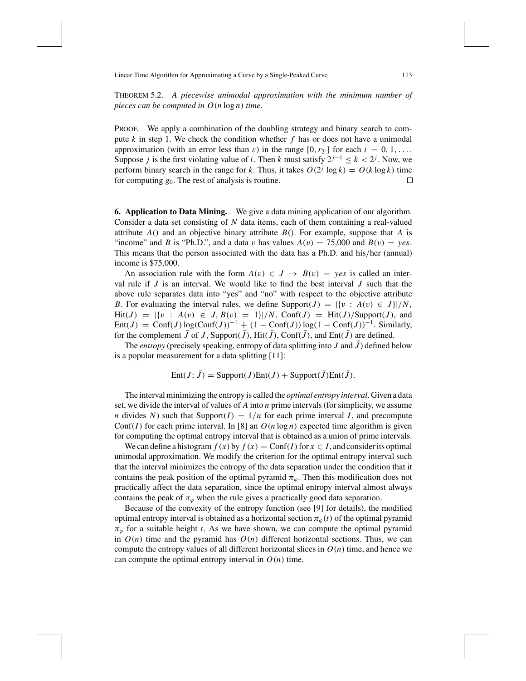THEOREM 5.2. *A piecewise unimodal approximation with the minimum number of pieces can be computed in O*(*n* log *n*) *time*.

PROOF. We apply a combination of the doubling strategy and binary search to compute *k* in step 1. We check the condition whether *f* has or does not have a unimodal approximation (with an error less than  $\varepsilon$ ) in the range  $[0, r_{2i}]$  for each  $i = 0, 1, \ldots$ . Suppose *j* is the first violating value of *i*. Then *k* must satisfy  $2^{j-1} \le k < 2^j$ . Now, we perform binary search in the range for *k*. Thus, it takes  $O(2^{j} \log k) = O(k \log k)$  time for computing *g*0. The rest of analysis is routine.  $\Box$ 

**6. Application to Data Mining.** We give a data mining application of our algorithm. Consider a data set consisting of *N* data items, each of them containing a real-valued attribute *A*() and an objective binary attribute *B*(). For example, suppose that *A* is "income" and *B* is "Ph.D.", and a data v has values  $A(v) = 75{,}000$  and  $B(v) = yes$ . This means that the person associated with the data has a Ph.D. and his/her (annual) income is \$75,000.

An association rule with the form  $A(v) \in J \to B(v) = yes$  is called an interval rule if *J* is an interval. We would like to find the best interval *J* such that the above rule separates data into "yes" and "no" with respect to the objective attribute *B*. For evaluating the interval rules, we define Support(*J*) =  $\{v : A(v) \in J\}/N$ ,  $Hit(J) = |\{v : A(v) \in J, B(v) = 1\}|/N$ , Conf(*J*) = Hit(*J*)/Support(*J*), and  $Ent(J) = Conf(J)log(Conf(J))^{-1} + (1 - Conf(J))log(1 - Conf(J))^{-1}$ . Similarly, for the complement  $\bar{J}$  of  $J$ , Support( $\bar{J}$ ), Hit( $\bar{J}$ ), Conf( $\bar{J}$ ), and Ent( $\bar{J}$ ) are defined.

The *entropy* (precisely speaking, entropy of data splitting into *J* and  $\bar{J}$ ) defined below is a popular measurement for a data splitting [11]:

 $Ent(J; \bar{J}) = Support(J)Ent(J) + Support(\bar{J})Ent(\bar{J}).$ 

The interval minimizing the entropy is called the *optimal entropy interval*. Given a data set, we divide the interval of values of *A* into *n* prime intervals (for simplicity, we assume *n* divides *N*) such that Support( $I$ ) =  $1/n$  for each prime interval *I*, and precompute Conf(*I*) for each prime interval. In [8] an  $O(n \log n)$  expected time algorithm is given for computing the optimal entropy interval that is obtained as a union of prime intervals.

We can define a histogram  $f(x)$  by  $f(x) = \text{Conf}(I)$  for  $x \in I$ , and consider its optimal unimodal approximation. We modify the criterion for the optimal entropy interval such that the interval minimizes the entropy of the data separation under the condition that it contains the peak position of the optimal pyramid  $\pi_{\varphi}$ . Then this modification does not practically affect the data separation, since the optimal entropy interval almost always contains the peak of  $\pi_{\varphi}$  when the rule gives a practically good data separation.

Because of the convexity of the entropy function (see [9] for details), the modified optimal entropy interval is obtained as a horizontal section  $\pi_{\varphi}(t)$  of the optimal pyramid  $\pi_{\varphi}$  for a suitable height *t*. As we have shown, we can compute the optimal pyramid in  $O(n)$  time and the pyramid has  $O(n)$  different horizontal sections. Thus, we can compute the entropy values of all different horizontal slices in  $O(n)$  time, and hence we can compute the optimal entropy interval in  $O(n)$  time.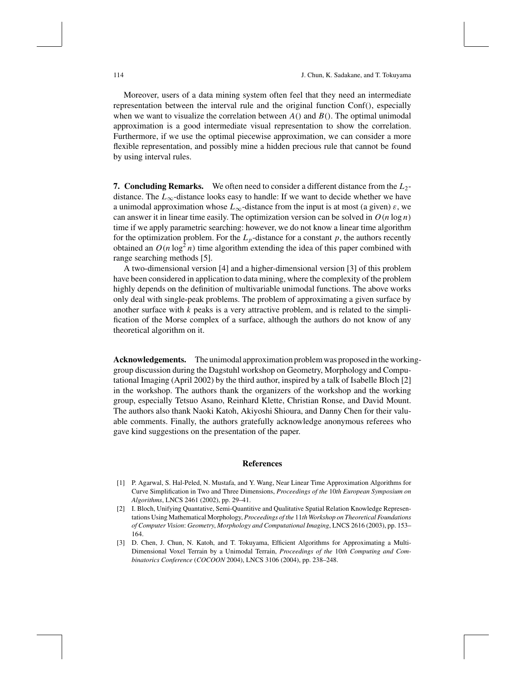Moreover, users of a data mining system often feel that they need an intermediate representation between the interval rule and the original function Conf(), especially when we want to visualize the correlation between  $A()$  and  $B()$ . The optimal unimodal approximation is a good intermediate visual representation to show the correlation. Furthermore, if we use the optimal piecewise approximation, we can consider a more flexible representation, and possibly mine a hidden precious rule that cannot be found by using interval rules.

**7. Concluding Remarks.** We often need to consider a different distance from the *L*2 distance. The  $L_{\infty}$ -distance looks easy to handle: If we want to decide whether we have a unimodal approximation whose  $L_{\infty}$ -distance from the input is at most (a given)  $\varepsilon$ , we can answer it in linear time easily. The optimization version can be solved in  $O(n \log n)$ time if we apply parametric searching: however, we do not know a linear time algorithm for the optimization problem. For the  $L_p$ -distance for a constant  $p$ , the authors recently obtained an  $O(n \log^2 n)$  time algorithm extending the idea of this paper combined with range searching methods [5].

A two-dimensional version [4] and a higher-dimensional version [3] of this problem have been considered in application to data mining, where the complexity of the problem highly depends on the definition of multivariable unimodal functions. The above works only deal with single-peak problems. The problem of approximating a given surface by another surface with  $k$  peaks is a very attractive problem, and is related to the simplification of the Morse complex of a surface, although the authors do not know of any theoretical algorithm on it.

**Acknowledgements.** The unimodal approximation problem was proposed in the workinggroup discussion during the Dagstuhl workshop on Geometry, Morphology and Computational Imaging (April 2002) by the third author, inspired by a talk of Isabelle Bloch [2] in the workshop. The authors thank the organizers of the workshop and the working group, especially Tetsuo Asano, Reinhard Klette, Christian Ronse, and David Mount. The authors also thank Naoki Katoh, Akiyoshi Shioura, and Danny Chen for their valuable comments. Finally, the authors gratefully acknowledge anonymous referees who gave kind suggestions on the presentation of the paper.

## **References**

- [1] P. Agarwal, S. Hal-Peled, N. Mustafa, and Y. Wang, Near Linear Time Approximation Algorithms for Curve Simplification in Two and Three Dimensions, *Proceedings of the* 10*th European Symposium on Algorithms*, LNCS 2461 (2002), pp. 29–41.
- [2] I. Bloch, Unifying Quantative, Semi-Quantitive and Qualitative Spatial Relation Knowledge Representations Using Mathematical Morphology, *Proceedings of the* 11*th Workshop on Theoretical Foundations of Computer Vision*: *Geometry*, *Morphology and Computational Imaging*, LNCS 2616 (2003), pp. 153– 164.
- [3] D. Chen, J. Chun, N. Katoh, and T. Tokuyama, Efficient Algorithms for Approximating a Multi-Dimensional Voxel Terrain by a Unimodal Terrain, *Proceedings of the* 10*th Computing and Combinatorics Conference* (*COCOON* 2004), LNCS 3106 (2004), pp. 238–248.